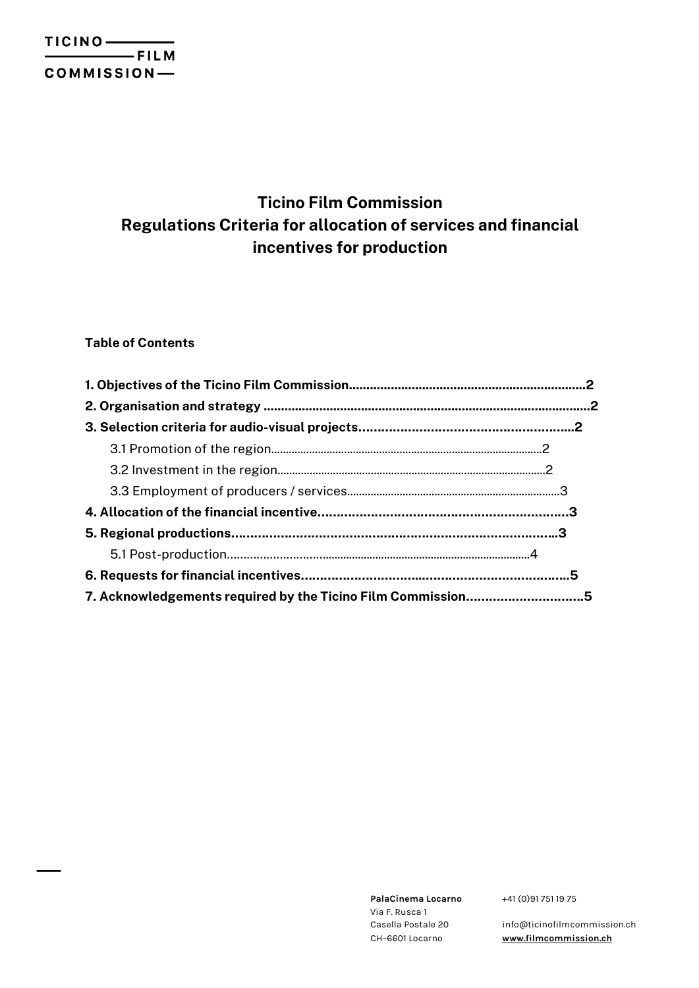# **Ticino Film Commission Regulations Criteria for allocation of services and financial incentives for production**

# **Table of Contents**

| 7. Acknowledgements required by the Ticino Film Commission5 |  |
|-------------------------------------------------------------|--|

**PalaCinema Locarno** Via F. Rusca 1 Casella Postale 20 CH–6601 Locarno

+41 (0)91 751 19 75

info@ticinofilmcommission.ch **www.filmcommission.ch**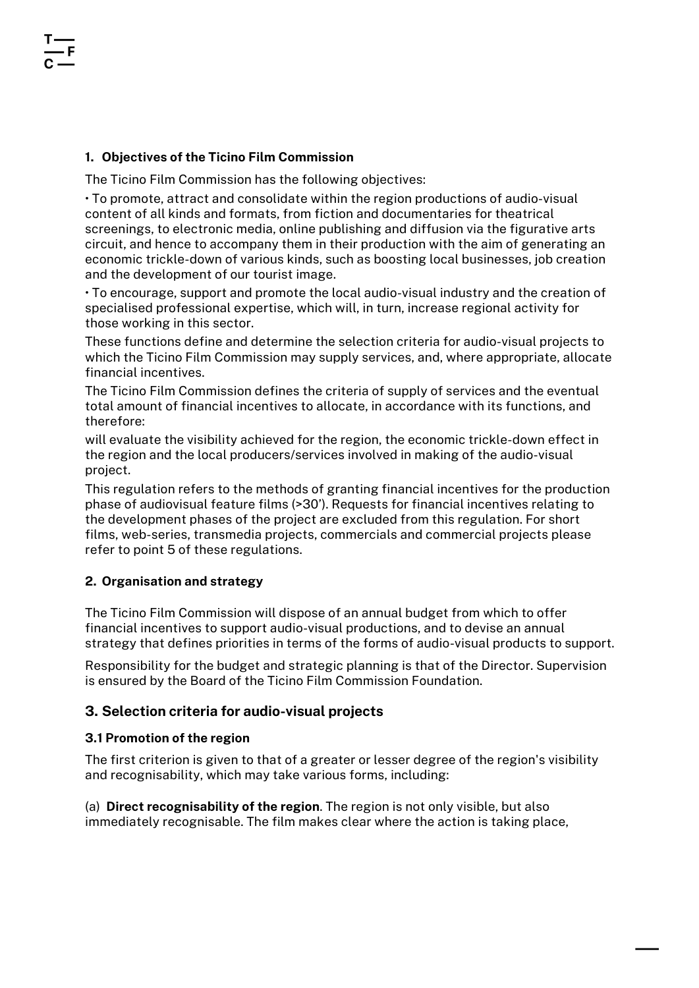## **1. Objectives of the Ticino Film Commission**

The Ticino Film Commission has the following objectives:

• To promote, attract and consolidate within the region productions of audio-visual content of all kinds and formats, from fiction and documentaries for theatrical screenings, to electronic media, online publishing and diffusion via the figurative arts circuit, and hence to accompany them in their production with the aim of generating an economic trickle-down of various kinds, such as boosting local businesses, job creation and the development of our tourist image.

• To encourage, support and promote the local audio-visual industry and the creation of specialised professional expertise, which will, in turn, increase regional activity for those working in this sector.

These functions define and determine the selection criteria for audio-visual projects to which the Ticino Film Commission may supply services, and, where appropriate, allocate financial incentives.

The Ticino Film Commission defines the criteria of supply of services and the eventual total amount of financial incentives to allocate, in accordance with its functions, and therefore:

will evaluate the visibility achieved for the region, the economic trickle-down effect in the region and the local producers/services involved in making of the audio-visual project.

This regulation refers to the methods of granting financial incentives for the production phase of audiovisual feature films (>30'). Requests for financial incentives relating to the development phases of the project are excluded from this regulation. For short films, web-series, transmedia projects, commercials and commercial projects please refer to point 5 of these regulations.

## **2. Organisation and strategy**

The Ticino Film Commission will dispose of an annual budget from which to offer financial incentives to support audio-visual productions, and to devise an annual strategy that defines priorities in terms of the forms of audio-visual products to support.

Responsibility for the budget and strategic planning is that of the Director. Supervision is ensured by the Board of the Ticino Film Commission Foundation.

# **3. Selection criteria for audio-visual projects**

## **3.1 Promotion of the region**

The first criterion is given to that of a greater or lesser degree of the region's visibility and recognisability, which may take various forms, including:

(a) **Direct recognisability of the region**. The region is not only visible, but also immediately recognisable. The film makes clear where the action is taking place,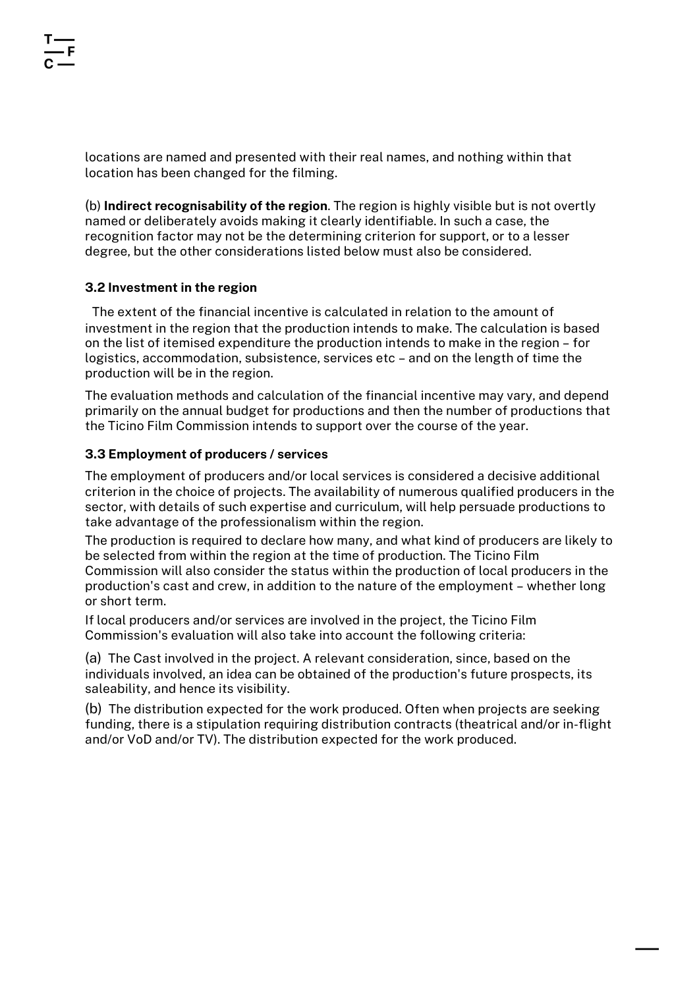locations are named and presented with their real names, and nothing within that location has been changed for the filming.

(b) **Indirect recognisability of the region**. The region is highly visible but is not overtly named or deliberately avoids making it clearly identifiable. In such a case, the recognition factor may not be the determining criterion for support, or to a lesser degree, but the other considerations listed below must also be considered.

## **3.2 Investment in the region**

The extent of the financial incentive is calculated in relation to the amount of investment in the region that the production intends to make. The calculation is based on the list of itemised expenditure the production intends to make in the region – for logistics, accommodation, subsistence, services etc – and on the length of time the production will be in the region.

The evaluation methods and calculation of the financial incentive may vary, and depend primarily on the annual budget for productions and then the number of productions that the Ticino Film Commission intends to support over the course of the year.

#### **3.3 Employment of producers / services**

The employment of producers and/or local services is considered a decisive additional criterion in the choice of projects. The availability of numerous qualified producers in the sector, with details of such expertise and curriculum, will help persuade productions to take advantage of the professionalism within the region.

The production is required to declare how many, and what kind of producers are likely to be selected from within the region at the time of production. The Ticino Film Commission will also consider the status within the production of local producers in the production's cast and crew, in addition to the nature of the employment – whether long or short term.

If local producers and/or services are involved in the project, the Ticino Film Commission's evaluation will also take into account the following criteria:

(a) The Cast involved in the project. A relevant consideration, since, based on the individuals involved, an idea can be obtained of the production's future prospects, its saleability, and hence its visibility.

(b) The distribution expected for the work produced. Often when projects are seeking funding, there is a stipulation requiring distribution contracts (theatrical and/or in-flight and/or VoD and/or TV). The distribution expected for the work produced.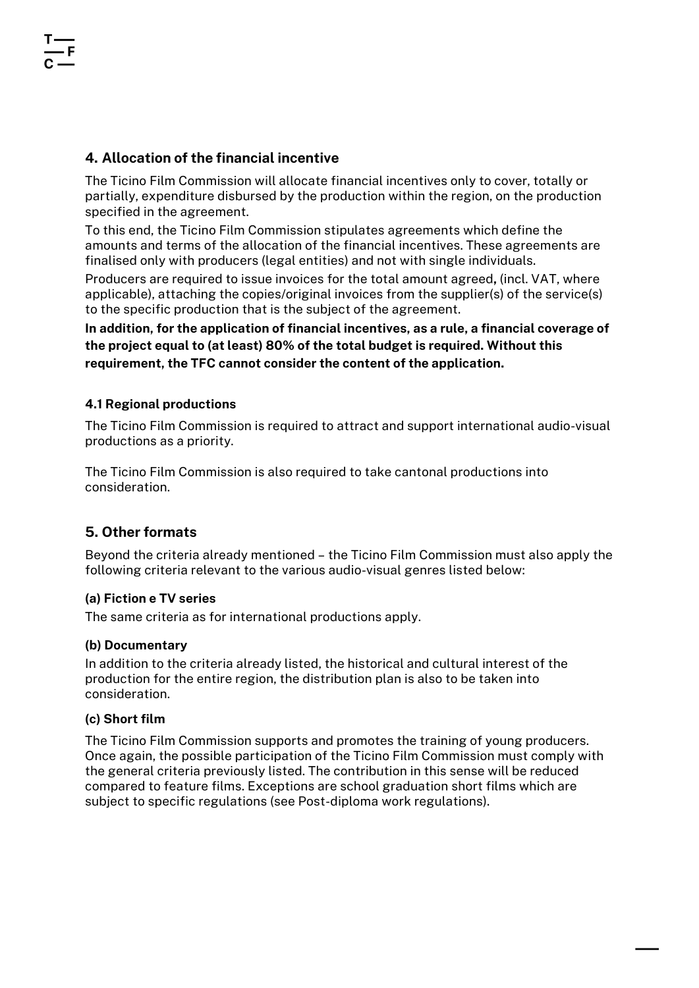# **4. Allocation of the financial incentive**

The Ticino Film Commission will allocate financial incentives only to cover, totally or partially, expenditure disbursed by the production within the region, on the production specified in the agreement.

To this end, the Ticino Film Commission stipulates agreements which define the amounts and terms of the allocation of the financial incentives. These agreements are finalised only with producers (legal entities) and not with single individuals.

Producers are required to issue invoices for the total amount agreed**,** (incl. VAT, where applicable), attaching the copies/original invoices from the supplier(s) of the service(s) to the specific production that is the subject of the agreement.

**In addition, for the application of financial incentives, as a rule, a financial coverage of the project equal to (at least) 80% of the total budget is required. Without this requirement, the TFC cannot consider the content of the application.**

## **4.1 Regional productions**

The Ticino Film Commission is required to attract and support international audio-visual productions as a priority.

The Ticino Film Commission is also required to take cantonal productions into consideration.

# **5. Other formats**

Beyond the criteria already mentioned – the Ticino Film Commission must also apply the following criteria relevant to the various audio-visual genres listed below:

## **(a) Fiction e TV series**

The same criteria as for international productions apply.

## **(b) Documentary**

In addition to the criteria already listed, the historical and cultural interest of the production for the entire region, the distribution plan is also to be taken into consideration.

## **(c) Short film**

The Ticino Film Commission supports and promotes the training of young producers. Once again, the possible participation of the Ticino Film Commission must comply with the general criteria previously listed. The contribution in this sense will be reduced compared to feature films. Exceptions are school graduation short films which are subject to specific regulations (see Post-diploma work regulations).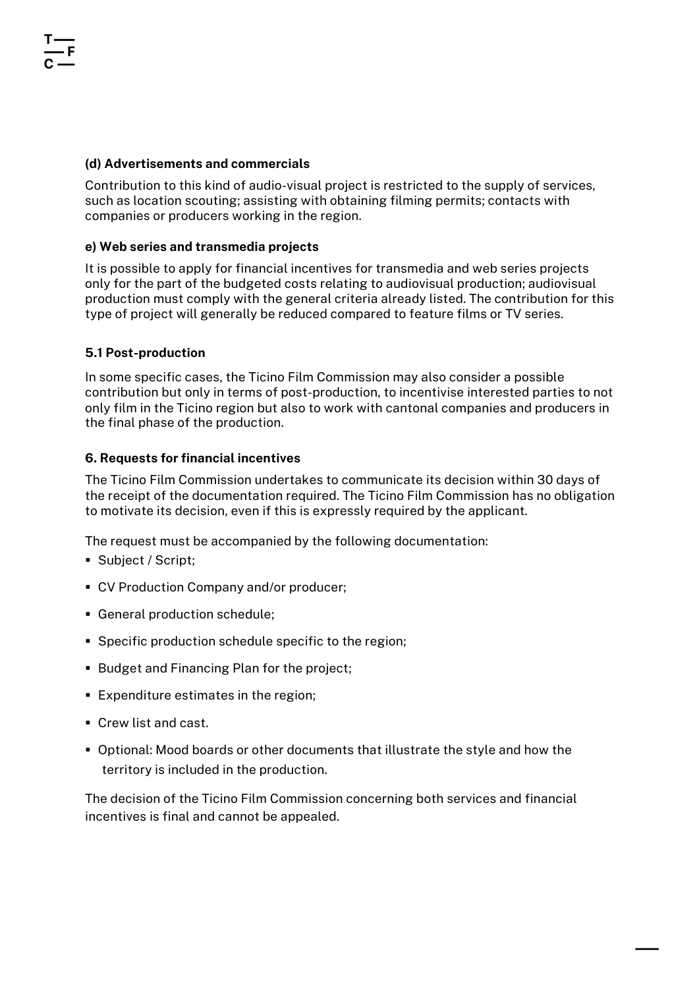## **(d) Advertisements and commercials**

Contribution to this kind of audio-visual project is restricted to the supply of services, such as location scouting; assisting with obtaining filming permits; contacts with companies or producers working in the region.

## **e) Web series and transmedia projects**

It is possible to apply for financial incentives for transmedia and web series projects only for the part of the budgeted costs relating to audiovisual production; audiovisual production must comply with the general criteria already listed. The contribution for this type of project will generally be reduced compared to feature films or TV series.

## **5.1 Post-production**

In some specific cases, the Ticino Film Commission may also consider a possible contribution but only in terms of post-production, to incentivise interested parties to not only film in the Ticino region but also to work with cantonal companies and producers in the final phase of the production.

## **6. Requests for financial incentives**

The Ticino Film Commission undertakes to communicate its decision within 30 days of the receipt of the documentation required. The Ticino Film Commission has no obligation to motivate its decision, even if this is expressly required by the applicant.

The request must be accompanied by the following documentation:

- Subject / Script;
- CV Production Company and/or producer:
- § General production schedule;
- § Specific production schedule specific to the region;
- Budget and Financing Plan for the project;
- § Expenditure estimates in the region;
- Crew list and cast.
- § Optional: Mood boards or other documents that illustrate the style and how the territory is included in the production.

The decision of the Ticino Film Commission concerning both services and financial incentives is final and cannot be appealed.